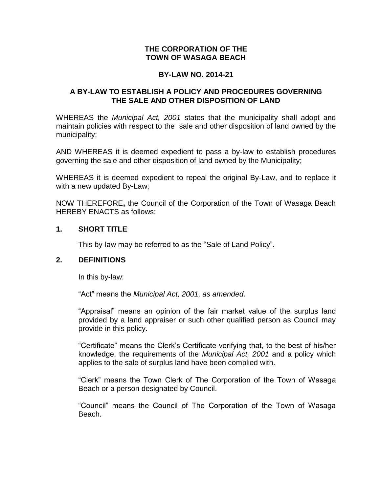## **THE CORPORATION OF THE TOWN OF WASAGA BEACH**

## **BY-LAW NO. 2014-21**

## **A BY-LAW TO ESTABLISH A POLICY AND PROCEDURES GOVERNING THE SALE AND OTHER DISPOSITION OF LAND**

WHEREAS the *Municipal Act, 2001* states that the municipality shall adopt and maintain policies with respect to the sale and other disposition of land owned by the municipality;

AND WHEREAS it is deemed expedient to pass a by-law to establish procedures governing the sale and other disposition of land owned by the Municipality;

WHEREAS it is deemed expedient to repeal the original By-Law, and to replace it with a new updated By-Law;

NOW THEREFORE**,** the Council of the Corporation of the Town of Wasaga Beach HEREBY ENACTS as follows:

## **1. SHORT TITLE**

This by-law may be referred to as the "Sale of Land Policy".

## **2. DEFINITIONS**

In this by-law:

"Act" means the *Municipal Act, 2001, as amended.*

"Appraisal" means an opinion of the fair market value of the surplus land provided by a land appraiser or such other qualified person as Council may provide in this policy.

"Certificate" means the Clerk's Certificate verifying that, to the best of his/her knowledge, the requirements of the *Municipal Act, 2001* and a policy which applies to the sale of surplus land have been complied with.

"Clerk" means the Town Clerk of The Corporation of the Town of Wasaga Beach or a person designated by Council.

"Council" means the Council of The Corporation of the Town of Wasaga Beach.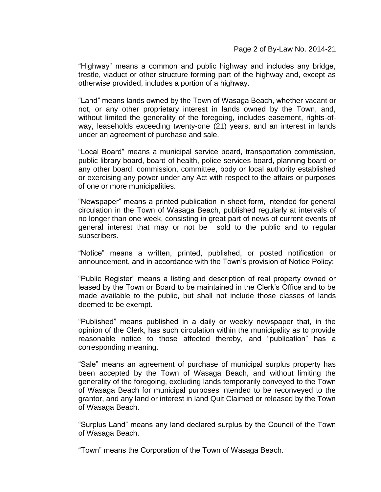"Highway" means a common and public highway and includes any bridge, trestle, viaduct or other structure forming part of the highway and, except as otherwise provided, includes a portion of a highway.

"Land" means lands owned by the Town of Wasaga Beach, whether vacant or not, or any other proprietary interest in lands owned by the Town, and, without limited the generality of the foregoing, includes easement, rights-ofway, leaseholds exceeding twenty-one (21) years, and an interest in lands under an agreement of purchase and sale.

"Local Board" means a municipal service board, transportation commission, public library board, board of health, police services board, planning board or any other board, commission, committee, body or local authority established or exercising any power under any Act with respect to the affairs or purposes of one or more municipalities.

"Newspaper" means a printed publication in sheet form, intended for general circulation in the Town of Wasaga Beach, published regularly at intervals of no longer than one week, consisting in great part of news of current events of general interest that may or not be sold to the public and to regular subscribers.

"Notice" means a written, printed, published, or posted notification or announcement, and in accordance with the Town's provision of Notice Policy;

"Public Register" means a listing and description of real property owned or leased by the Town or Board to be maintained in the Clerk's Office and to be made available to the public, but shall not include those classes of lands deemed to be exempt.

"Published" means published in a daily or weekly newspaper that, in the opinion of the Clerk, has such circulation within the municipality as to provide reasonable notice to those affected thereby, and "publication" has a corresponding meaning.

"Sale" means an agreement of purchase of municipal surplus property has been accepted by the Town of Wasaga Beach, and without limiting the generality of the foregoing, excluding lands temporarily conveyed to the Town of Wasaga Beach for municipal purposes intended to be reconveyed to the grantor, and any land or interest in land Quit Claimed or released by the Town of Wasaga Beach.

"Surplus Land" means any land declared surplus by the Council of the Town of Wasaga Beach.

"Town" means the Corporation of the Town of Wasaga Beach.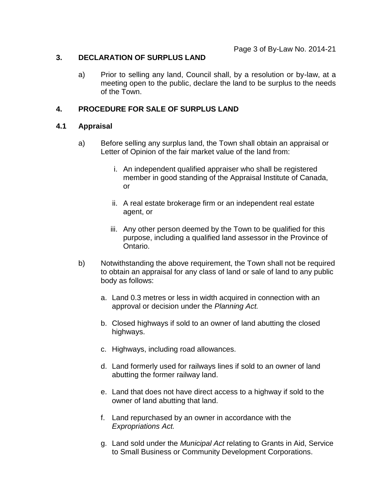## **3. DECLARATION OF SURPLUS LAND**

a) Prior to selling any land, Council shall, by a resolution or by-law, at a meeting open to the public, declare the land to be surplus to the needs of the Town.

## **4. PROCEDURE FOR SALE OF SURPLUS LAND**

## **4.1 Appraisal**

- a) Before selling any surplus land, the Town shall obtain an appraisal or Letter of Opinion of the fair market value of the land from:
	- i. An independent qualified appraiser who shall be registered member in good standing of the Appraisal Institute of Canada, or
	- ii. A real estate brokerage firm or an independent real estate agent, or
	- iii. Any other person deemed by the Town to be qualified for this purpose, including a qualified land assessor in the Province of Ontario.
- b) Notwithstanding the above requirement, the Town shall not be required to obtain an appraisal for any class of land or sale of land to any public body as follows:
	- a. Land 0.3 metres or less in width acquired in connection with an approval or decision under the *Planning Act.*
	- b. Closed highways if sold to an owner of land abutting the closed highways.
	- c. Highways, including road allowances.
	- d. Land formerly used for railways lines if sold to an owner of land abutting the former railway land.
	- e. Land that does not have direct access to a highway if sold to the owner of land abutting that land.
	- f. Land repurchased by an owner in accordance with the *Expropriations Act.*
	- g. Land sold under the *Municipal Act* relating to Grants in Aid, Service to Small Business or Community Development Corporations.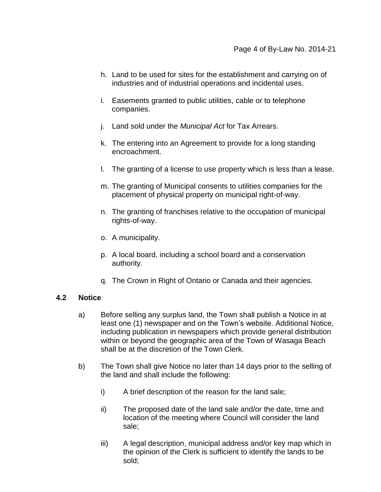- h. Land to be used for sites for the establishment and carrying on of industries and of industrial operations and incidental uses.
- i. Easements granted to public utilities, cable or to telephone companies.
- j. Land sold under the *Municipal Act* for Tax Arrears.
- k. The entering into an Agreement to provide for a long standing encroachment.
- l. The granting of a license to use property which is less than a lease.
- m. The granting of Municipal consents to utilities companies for the placement of physical property on municipal right-of-way.
- n. The granting of franchises relative to the occupation of municipal rights-of-way.
- o. A municipality.
- p. A local board, including a school board and a conservation authority.
- q. The Crown in Right of Ontario or Canada and their agencies.

## **4.2 Notice**

- a) Before selling any surplus land, the Town shall publish a Notice in at least one (1) newspaper and on the Town's website. Additional Notice, including publication in newspapers which provide general distribution within or beyond the geographic area of the Town of Wasaga Beach shall be at the discretion of the Town Clerk.
- b) The Town shall give Notice no later than 14 days prior to the selling of the land and shall include the following:
	- i) A brief description of the reason for the land sale;
	- ii) The proposed date of the land sale and/or the date, time and location of the meeting where Council will consider the land sale;
	- iii) A legal description, municipal address and/or key map which in the opinion of the Clerk is sufficient to identify the lands to be sold;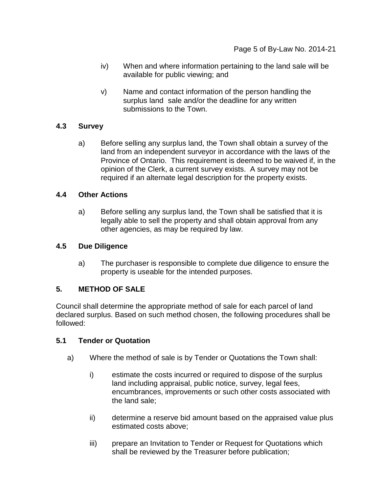- iv) When and where information pertaining to the land sale will be available for public viewing; and
- v) Name and contact information of the person handling the surplus land sale and/or the deadline for any written submissions to the Town.

# **4.3 Survey**

a) Before selling any surplus land, the Town shall obtain a survey of the land from an independent surveyor in accordance with the laws of the Province of Ontario. This requirement is deemed to be waived if, in the opinion of the Clerk, a current survey exists. A survey may not be required if an alternate legal description for the property exists.

## **4.4 Other Actions**

a) Before selling any surplus land, the Town shall be satisfied that it is legally able to sell the property and shall obtain approval from any other agencies, as may be required by law.

# **4.5 Due Diligence**

a) The purchaser is responsible to complete due diligence to ensure the property is useable for the intended purposes.

# **5. METHOD OF SALE**

Council shall determine the appropriate method of sale for each parcel of land declared surplus. Based on such method chosen, the following procedures shall be followed:

## **5.1 Tender or Quotation**

- a) Where the method of sale is by Tender or Quotations the Town shall:
	- i) estimate the costs incurred or required to dispose of the surplus land including appraisal, public notice, survey, legal fees, encumbrances, improvements or such other costs associated with the land sale;
	- ii) determine a reserve bid amount based on the appraised value plus estimated costs above;
	- iii) prepare an Invitation to Tender or Request for Quotations which shall be reviewed by the Treasurer before publication;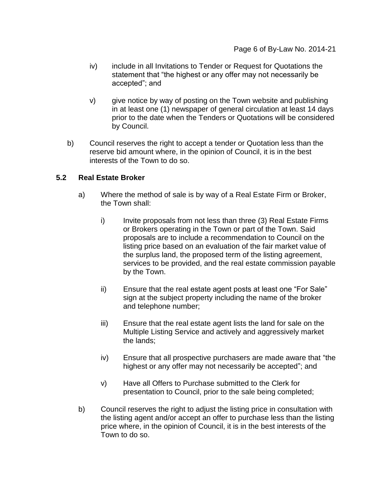- iv) include in all Invitations to Tender or Request for Quotations the statement that "the highest or any offer may not necessarily be accepted"; and
- v) give notice by way of posting on the Town website and publishing in at least one (1) newspaper of general circulation at least 14 days prior to the date when the Tenders or Quotations will be considered by Council.
- b) Council reserves the right to accept a tender or Quotation less than the reserve bid amount where, in the opinion of Council, it is in the best interests of the Town to do so.

## **5.2 Real Estate Broker**

- a) Where the method of sale is by way of a Real Estate Firm or Broker, the Town shall:
	- i) Invite proposals from not less than three (3) Real Estate Firms or Brokers operating in the Town or part of the Town. Said proposals are to include a recommendation to Council on the listing price based on an evaluation of the fair market value of the surplus land, the proposed term of the listing agreement, services to be provided, and the real estate commission payable by the Town.
	- ii) Ensure that the real estate agent posts at least one "For Sale" sign at the subject property including the name of the broker and telephone number;
	- iii) Ensure that the real estate agent lists the land for sale on the Multiple Listing Service and actively and aggressively market the lands;
	- iv) Ensure that all prospective purchasers are made aware that "the highest or any offer may not necessarily be accepted"; and
	- v) Have all Offers to Purchase submitted to the Clerk for presentation to Council, prior to the sale being completed;
- b) Council reserves the right to adjust the listing price in consultation with the listing agent and/or accept an offer to purchase less than the listing price where, in the opinion of Council, it is in the best interests of the Town to do so.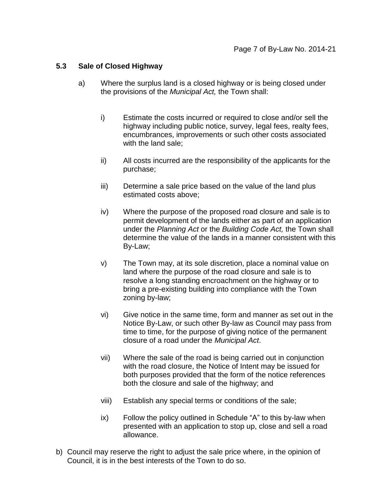## **5.3 Sale of Closed Highway**

- a) Where the surplus land is a closed highway or is being closed under the provisions of the *Municipal Act,* the Town shall:
	- i) Estimate the costs incurred or required to close and/or sell the highway including public notice, survey, legal fees, realty fees, encumbrances, improvements or such other costs associated with the land sale;
	- ii) All costs incurred are the responsibility of the applicants for the purchase;
	- iii) Determine a sale price based on the value of the land plus estimated costs above;
	- iv) Where the purpose of the proposed road closure and sale is to permit development of the lands either as part of an application under the *Planning Act* or the *Building Code Act,* the Town shall determine the value of the lands in a manner consistent with this By-Law;
	- v) The Town may, at its sole discretion, place a nominal value on land where the purpose of the road closure and sale is to resolve a long standing encroachment on the highway or to bring a pre-existing building into compliance with the Town zoning by-law;
	- vi) Give notice in the same time, form and manner as set out in the Notice By-Law, or such other By-law as Council may pass from time to time, for the purpose of giving notice of the permanent closure of a road under the *Municipal Act*.
	- vii) Where the sale of the road is being carried out in conjunction with the road closure, the Notice of Intent may be issued for both purposes provided that the form of the notice references both the closure and sale of the highway; and
	- viii) Establish any special terms or conditions of the sale;
	- ix) Follow the policy outlined in Schedule "A" to this by-law when presented with an application to stop up, close and sell a road allowance.
- b) Council may reserve the right to adjust the sale price where, in the opinion of Council, it is in the best interests of the Town to do so.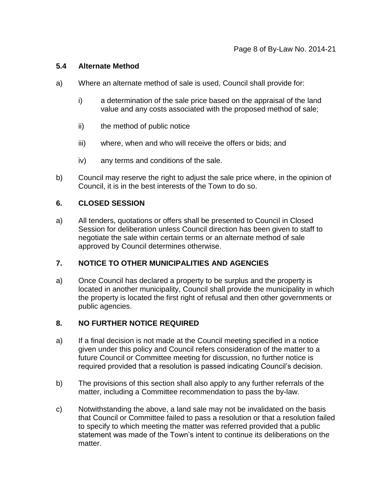## **5.4 Alternate Method**

- a) Where an alternate method of sale is used, Council shall provide for:
	- i) a determination of the sale price based on the appraisal of the land value and any costs associated with the proposed method of sale;
	- ii) the method of public notice
	- iii) where, when and who will receive the offers or bids; and
	- iv) any terms and conditions of the sale.
- b) Council may reserve the right to adjust the sale price where, in the opinion of Council, it is in the best interests of the Town to do so.

## **6. CLOSED SESSION**

a) All tenders, quotations or offers shall be presented to Council in Closed Session for deliberation unless Council direction has been given to staff to negotiate the sale within certain terms or an alternate method of sale approved by Council determines otherwise.

## **7. NOTICE TO OTHER MUNICIPALITIES AND AGENCIES**

a) Once Council has declared a property to be surplus and the property is located in another municipality, Council shall provide the municipality in which the property is located the first right of refusal and then other governments or public agencies.

### **8. NO FURTHER NOTICE REQUIRED**

- a) If a final decision is not made at the Council meeting specified in a notice given under this policy and Council refers consideration of the matter to a future Council or Committee meeting for discussion, no further notice is required provided that a resolution is passed indicating Council's decision.
- b) The provisions of this section shall also apply to any further referrals of the matter, including a Committee recommendation to pass the by-law.
- c) Notwithstanding the above, a land sale may not be invalidated on the basis that Council or Committee failed to pass a resolution or that a resolution failed to specify to which meeting the matter was referred provided that a public statement was made of the Town's intent to continue its deliberations on the matter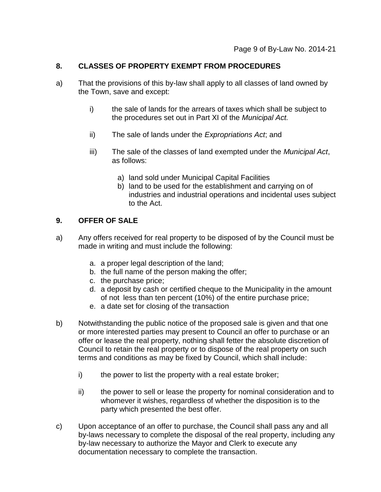## **8. CLASSES OF PROPERTY EXEMPT FROM PROCEDURES**

- a) That the provisions of this by-law shall apply to all classes of land owned by the Town, save and except:
	- i) the sale of lands for the arrears of taxes which shall be subject to the procedures set out in Part XI of the *Municipal Act.*
	- ii) The sale of lands under the *Expropriations Act*; and
	- iii) The sale of the classes of land exempted under the *Municipal Act*, as follows:
		- a) land sold under Municipal Capital Facilities
		- b) land to be used for the establishment and carrying on of industries and industrial operations and incidental uses subject to the Act.

# **9. OFFER OF SALE**

- a) Any offers received for real property to be disposed of by the Council must be made in writing and must include the following:
	- a. a proper legal description of the land;
	- b. the full name of the person making the offer;
	- c. the purchase price;
	- d. a deposit by cash or certified cheque to the Municipality in the amount of not less than ten percent (10%) of the entire purchase price;
	- e. a date set for closing of the transaction
- b) Notwithstanding the public notice of the proposed sale is given and that one or more interested parties may present to Council an offer to purchase or an offer or lease the real property, nothing shall fetter the absolute discretion of Council to retain the real property or to dispose of the real property on such terms and conditions as may be fixed by Council, which shall include:
	- i) the power to list the property with a real estate broker;
	- ii) the power to sell or lease the property for nominal consideration and to whomever it wishes, regardless of whether the disposition is to the party which presented the best offer.
- c) Upon acceptance of an offer to purchase, the Council shall pass any and all by-laws necessary to complete the disposal of the real property, including any by-law necessary to authorize the Mayor and Clerk to execute any documentation necessary to complete the transaction.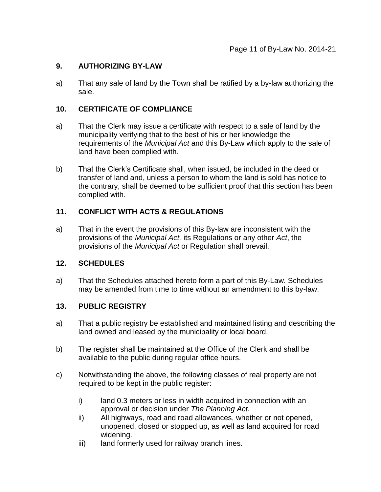# **9. AUTHORIZING BY-LAW**

a) That any sale of land by the Town shall be ratified by a by-law authorizing the sale.

# **10. CERTIFICATE OF COMPLIANCE**

- a) That the Clerk may issue a certificate with respect to a sale of land by the municipality verifying that to the best of his or her knowledge the requirements of the *Municipal Act* and this By-Law which apply to the sale of land have been complied with.
- b) That the Clerk's Certificate shall, when issued, be included in the deed or transfer of land and, unless a person to whom the land is sold has notice to the contrary, shall be deemed to be sufficient proof that this section has been complied with.

# **11. CONFLICT WITH ACTS & REGULATIONS**

a) That in the event the provisions of this By-law are inconsistent with the provisions of the *Municipal Act,* its Regulations or any other *Act*, the provisions of the *Municipal Act* or Regulation shall prevail.

## **12. SCHEDULES**

a) That the Schedules attached hereto form a part of this By-Law. Schedules may be amended from time to time without an amendment to this by-law.

## **13. PUBLIC REGISTRY**

- a) That a public registry be established and maintained listing and describing the land owned and leased by the municipality or local board.
- b) The register shall be maintained at the Office of the Clerk and shall be available to the public during regular office hours.
- c) Notwithstanding the above, the following classes of real property are not required to be kept in the public register:
	- i) land 0.3 meters or less in width acquired in connection with an approval or decision under *The Planning Act*.
	- ii) All highways, road and road allowances, whether or not opened, unopened, closed or stopped up, as well as land acquired for road widening.
	- iii) land formerly used for railway branch lines.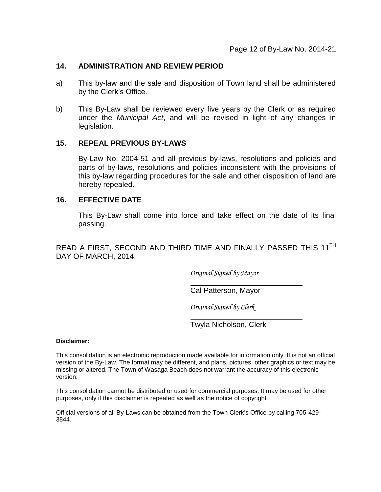### **14. ADMINISTRATION AND REVIEW PERIOD**

- a) This by-law and the sale and disposition of Town land shall be administered by the Clerk's Office.
- b) This By-Law shall be reviewed every five years by the Clerk or as required under the *Municipal Act*, and will be revised in light of any changes in legislation.

## **15. REPEAL PREVIOUS BY-LAWS**

By-Law No. 2004-51 and all previous by-laws, resolutions and policies and parts of by-laws, resolutions and policies inconsistent with the provisions of this by-law regarding procedures for the sale and other disposition of land are hereby repealed.

### **16. EFFECTIVE DATE**

This By-Law shall come into force and take effect on the date of its final passing.

READ A FIRST, SECOND AND THIRD TIME AND FINALLY PASSED THIS 11TH DAY OF MARCH, 2014.

*Original Signed by Mayor*

Cal Patterson, Mayor

*Original Signed by Clerk*

Twyla Nicholson, Clerk

**Disclaimer:**

This consolidation is an electronic reproduction made available for information only. It is not an official version of the By-Law. The format may be different, and plans, pictures, other graphics or text may be missing or altered. The Town of Wasaga Beach does not warrant the accuracy of this electronic version.

This consolidation cannot be distributed or used for commercial purposes. It may be used for other purposes, only if this disclaimer is repeated as well as the notice of copyright.

Official versions of all By-Laws can be obtained from the Town Clerk's Office by calling 705-429- 3844.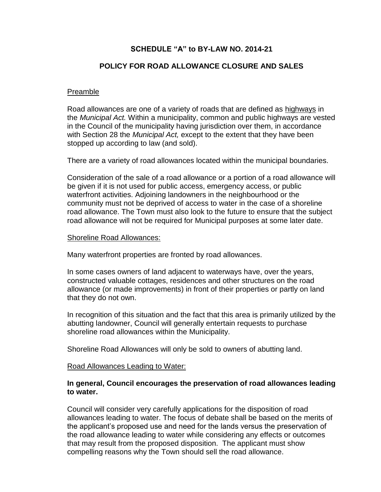# **SCHEDULE "A" to BY-LAW NO. 2014-21**

# **POLICY FOR ROAD ALLOWANCE CLOSURE AND SALES**

## Preamble

Road allowances are one of a variety of roads that are defined as highways in the *Municipal Act.* Within a municipality, common and public highways are vested in the Council of the municipality having jurisdiction over them, in accordance with Section 28 the *Municipal Act,* except to the extent that they have been stopped up according to law (and sold).

There are a variety of road allowances located within the municipal boundaries.

Consideration of the sale of a road allowance or a portion of a road allowance will be given if it is not used for public access, emergency access, or public waterfront activities. Adjoining landowners in the neighbourhood or the community must not be deprived of access to water in the case of a shoreline road allowance. The Town must also look to the future to ensure that the subject road allowance will not be required for Municipal purposes at some later date.

### Shoreline Road Allowances:

Many waterfront properties are fronted by road allowances.

In some cases owners of land adjacent to waterways have, over the years, constructed valuable cottages, residences and other structures on the road allowance (or made improvements) in front of their properties or partly on land that they do not own.

In recognition of this situation and the fact that this area is primarily utilized by the abutting landowner, Council will generally entertain requests to purchase shoreline road allowances within the Municipality.

Shoreline Road Allowances will only be sold to owners of abutting land.

## Road Allowances Leading to Water:

## **In general, Council encourages the preservation of road allowances leading to water.**

Council will consider very carefully applications for the disposition of road allowances leading to water. The focus of debate shall be based on the merits of the applicant's proposed use and need for the lands versus the preservation of the road allowance leading to water while considering any effects or outcomes that may result from the proposed disposition. The applicant must show compelling reasons why the Town should sell the road allowance.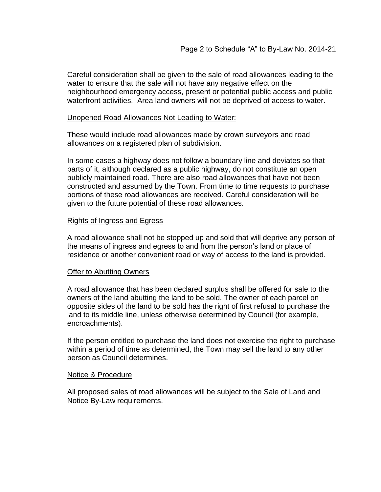Careful consideration shall be given to the sale of road allowances leading to the water to ensure that the sale will not have any negative effect on the neighbourhood emergency access, present or potential public access and public waterfront activities. Area land owners will not be deprived of access to water.

### Unopened Road Allowances Not Leading to Water:

These would include road allowances made by crown surveyors and road allowances on a registered plan of subdivision.

In some cases a highway does not follow a boundary line and deviates so that parts of it, although declared as a public highway, do not constitute an open publicly maintained road. There are also road allowances that have not been constructed and assumed by the Town. From time to time requests to purchase portions of these road allowances are received. Careful consideration will be given to the future potential of these road allowances.

#### Rights of Ingress and Egress

A road allowance shall not be stopped up and sold that will deprive any person of the means of ingress and egress to and from the person's land or place of residence or another convenient road or way of access to the land is provided.

#### Offer to Abutting Owners

A road allowance that has been declared surplus shall be offered for sale to the owners of the land abutting the land to be sold. The owner of each parcel on opposite sides of the land to be sold has the right of first refusal to purchase the land to its middle line, unless otherwise determined by Council (for example, encroachments).

If the person entitled to purchase the land does not exercise the right to purchase within a period of time as determined, the Town may sell the land to any other person as Council determines.

#### Notice & Procedure

All proposed sales of road allowances will be subject to the Sale of Land and Notice By-Law requirements.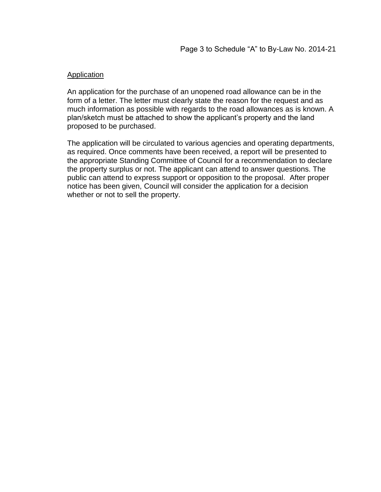## **Application**

An application for the purchase of an unopened road allowance can be in the form of a letter. The letter must clearly state the reason for the request and as much information as possible with regards to the road allowances as is known. A plan/sketch must be attached to show the applicant's property and the land proposed to be purchased.

The application will be circulated to various agencies and operating departments, as required. Once comments have been received, a report will be presented to the appropriate Standing Committee of Council for a recommendation to declare the property surplus or not. The applicant can attend to answer questions. The public can attend to express support or opposition to the proposal. After proper notice has been given, Council will consider the application for a decision whether or not to sell the property.